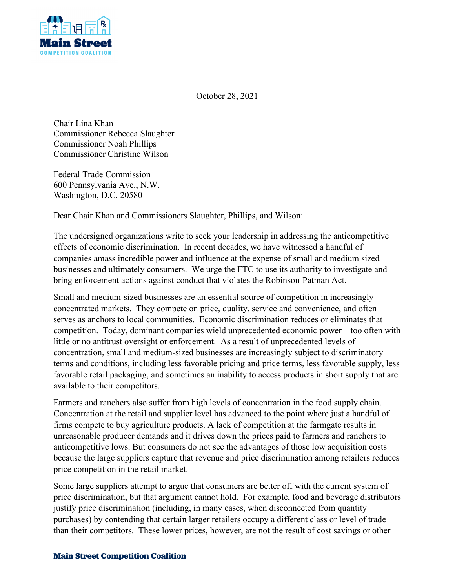

October 28, 2021

Chair Lina Khan Commissioner Rebecca Slaughter Commissioner Noah Phillips Commissioner Christine Wilson

Federal Trade Commission 600 Pennsylvania Ave., N.W. Washington, D.C. 20580

Dear Chair Khan and Commissioners Slaughter, Phillips, and Wilson:

The undersigned organizations write to seek your leadership in addressing the anticompetitive effects of economic discrimination. In recent decades, we have witnessed a handful of companies amass incredible power and influence at the expense of small and medium sized businesses and ultimately consumers. We urge the FTC to use its authority to investigate and bring enforcement actions against conduct that violates the Robinson-Patman Act.

Small and medium-sized businesses are an essential source of competition in increasingly concentrated markets. They compete on price, quality, service and convenience, and often serves as anchors to local communities. Economic discrimination reduces or eliminates that competition. Today, dominant companies wield unprecedented economic power—too often with little or no antitrust oversight or enforcement. As a result of unprecedented levels of concentration, small and medium-sized businesses are increasingly subject to discriminatory terms and conditions, including less favorable pricing and price terms, less favorable supply, less favorable retail packaging, and sometimes an inability to access products in short supply that are available to their competitors.

Farmers and ranchers also suffer from high levels of concentration in the food supply chain. Concentration at the retail and supplier level has advanced to the point where just a handful of firms compete to buy agriculture products. A lack of competition at the farmgate results in unreasonable producer demands and it drives down the prices paid to farmers and ranchers to anticompetitive lows. But consumers do not see the advantages of those low acquisition costs because the large suppliers capture that revenue and price discrimination among retailers reduces price competition in the retail market.

Some large suppliers attempt to argue that consumers are better off with the current system of price discrimination, but that argument cannot hold. For example, food and beverage distributors justify price discrimination (including, in many cases, when disconnected from quantity purchases) by contending that certain larger retailers occupy a different class or level of trade than their competitors. These lower prices, however, are not the result of cost savings or other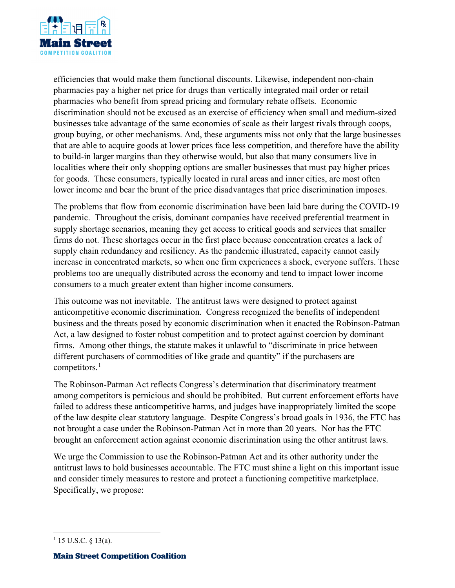

efficiencies that would make them functional discounts. Likewise, independent non-chain pharmacies pay a higher net price for drugs than vertically integrated mail order or retail pharmacies who benefit from spread pricing and formulary rebate offsets. Economic discrimination should not be excused as an exercise of efficiency when small and medium-sized businesses take advantage of the same economies of scale as their largest rivals through coops, group buying, or other mechanisms. And, these arguments miss not only that the large businesses that are able to acquire goods at lower prices face less competition, and therefore have the ability to build-in larger margins than they otherwise would, but also that many consumers live in localities where their only shopping options are smaller businesses that must pay higher prices for goods. These consumers, typically located in rural areas and inner cities, are most often lower income and bear the brunt of the price disadvantages that price discrimination imposes.

The problems that flow from economic discrimination have been laid bare during the COVID-19 pandemic. Throughout the crisis, dominant companies have received preferential treatment in supply shortage scenarios, meaning they get access to critical goods and services that smaller firms do not. These shortages occur in the first place because concentration creates a lack of supply chain redundancy and resiliency. As the pandemic illustrated, capacity cannot easily increase in concentrated markets, so when one firm experiences a shock, everyone suffers. These problems too are unequally distributed across the economy and tend to impact lower income consumers to a much greater extent than higher income consumers.

This outcome was not inevitable. The antitrust laws were designed to protect against anticompetitive economic discrimination. Congress recognized the benefits of independent business and the threats posed by economic discrimination when it enacted the Robinson-Patman Act, a law designed to foster robust competition and to protect against coercion by dominant firms. Among other things, the statute makes it unlawful to "discriminate in price between different purchasers of commodities of like grade and quantity" if the purchasers are competitors.<sup>[1](#page-1-0)</sup>

The Robinson-Patman Act reflects Congress's determination that discriminatory treatment among competitors is pernicious and should be prohibited. But current enforcement efforts have failed to address these anticompetitive harms, and judges have inappropriately limited the scope of the law despite clear statutory language. Despite Congress's broad goals in 1936, the FTC has not brought a case under the Robinson-Patman Act in more than 20 years. Nor has the FTC brought an enforcement action against economic discrimination using the other antitrust laws.

We urge the Commission to use the Robinson-Patman Act and its other authority under the antitrust laws to hold businesses accountable. The FTC must shine a light on this important issue and consider timely measures to restore and protect a functioning competitive marketplace. Specifically, we propose:

<span id="page-1-0"></span> $1$  15 U.S.C. § 13(a).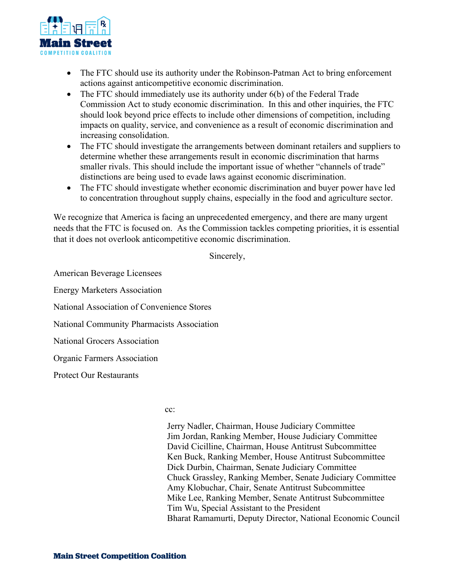

- The FTC should use its authority under the Robinson-Patman Act to bring enforcement actions against anticompetitive economic discrimination.
- The FTC should immediately use its authority under 6(b) of the Federal Trade Commission Act to study economic discrimination. In this and other inquiries, the FTC should look beyond price effects to include other dimensions of competition, including impacts on quality, service, and convenience as a result of economic discrimination and increasing consolidation.
- The FTC should investigate the arrangements between dominant retailers and suppliers to determine whether these arrangements result in economic discrimination that harms smaller rivals. This should include the important issue of whether "channels of trade" distinctions are being used to evade laws against economic discrimination.
- The FTC should investigate whether economic discrimination and buyer power have led to concentration throughout supply chains, especially in the food and agriculture sector.

We recognize that America is facing an unprecedented emergency, and there are many urgent needs that the FTC is focused on. As the Commission tackles competing priorities, it is essential that it does not overlook anticompetitive economic discrimination.

Sincerely,

American Beverage Licensees Energy Marketers Association National Association of Convenience Stores National Community Pharmacists Association National Grocers Association Organic Farmers Association Protect Our Restaurants

cc:

 Jerry Nadler, Chairman, House Judiciary Committee Jim Jordan, Ranking Member, House Judiciary Committee David Cicilline, Chairman, House Antitrust Subcommittee Ken Buck, Ranking Member, House Antitrust Subcommittee Dick Durbin, Chairman, Senate Judiciary Committee Chuck Grassley, Ranking Member, Senate Judiciary Committee Amy Klobuchar, Chair, Senate Antitrust Subcommittee Mike Lee, Ranking Member, Senate Antitrust Subcommittee Tim Wu, Special Assistant to the President Bharat Ramamurti, Deputy Director, National Economic Council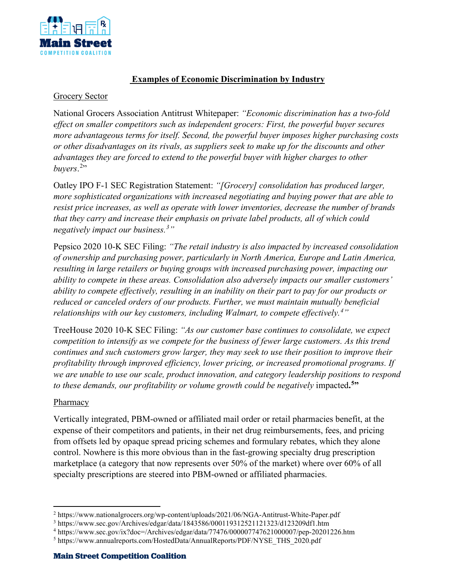

# **Examples of Economic Discrimination by Industry**

#### Grocery Sector

National Grocers Association Antitrust Whitepaper: *"Economic discrimination has a two-fold effect on smaller competitors such as independent grocers: First, the powerful buyer secures more advantageous terms for itself. Second, the powerful buyer imposes higher purchasing costs or other disadvantages on its rivals, as suppliers seek to make up for the discounts and other advantages they are forced to extend to the powerful buyer with higher charges to other*  buyers.<sup>[2](#page-3-0)</sup>"

Oatley IPO F-1 SEC Registration Statement: *"[Grocery] consolidation has produced larger, more sophisticated organizations with increased negotiating and buying power that are able to resist price increases, as well as operate with lower inventories, decrease the number of brands that they carry and increase their emphasis on private label products, all of which could negatively impact our business.[3](#page-3-1) "*

Pepsico 2020 10-K SEC Filing: *"The retail industry is also impacted by increased consolidation of ownership and purchasing power, particularly in North America, Europe and Latin America, resulting in large retailers or buying groups with increased purchasing power, impacting our ability to compete in these areas. Consolidation also adversely impacts our smaller customers' ability to compete effectively, resulting in an inability on their part to pay for our products or reduced or canceled orders of our products. Further, we must maintain mutually beneficial relationships with our key customers, including Walmart, to compete effectively.[4](#page-3-2) "*

TreeHouse 2020 10-K SEC Filing: *"As our customer base continues to consolidate, we expect competition to intensify as we compete for the business of fewer large customers. As this trend continues and such customers grow larger, they may seek to use their position to improve their profitability through improved efficiency, lower pricing, or increased promotional programs. If we are unable to use our scale, product innovation, and category leadership positions to respond to these demands, our profitability or volume growth could be negatively* impacted**. [5](#page-3-3)"**

### Pharmacy

Vertically integrated, PBM-owned or affiliated mail order or retail pharmacies benefit, at the expense of their competitors and patients, in their net drug reimbursements, fees, and pricing from offsets led by opaque spread pricing schemes and formulary rebates, which they alone control. Nowhere is this more obvious than in the fast-growing specialty drug prescription marketplace (a category that now represents over 50% of the market) where over 60% of all specialty prescriptions are steered into PBM-owned or affiliated pharmacies.

<span id="page-3-0"></span><sup>2</sup> https://www.nationalgrocers.org/wp-content/uploads/2021/06/NGA-Antitrust-White-Paper.pdf

<span id="page-3-1"></span><sup>3</sup> https://www.sec.gov/Archives/edgar/data/1843586/000119312521121323/d123209df1.htm

<span id="page-3-2"></span><sup>4</sup> https://www.sec.gov/ix?doc=/Archives/edgar/data/77476/000007747621000007/pep-20201226.htm

<span id="page-3-3"></span><sup>5</sup> https://www.annualreports.com/HostedData/AnnualReports/PDF/NYSE\_THS\_2020.pdf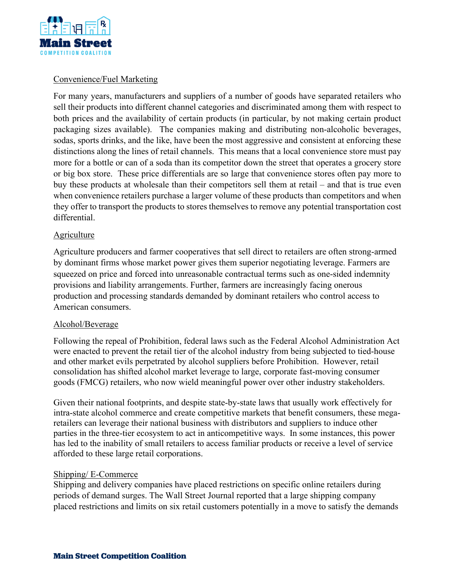

## Convenience/Fuel Marketing

For many years, manufacturers and suppliers of a number of goods have separated retailers who sell their products into different channel categories and discriminated among them with respect to both prices and the availability of certain products (in particular, by not making certain product packaging sizes available). The companies making and distributing non-alcoholic beverages, sodas, sports drinks, and the like, have been the most aggressive and consistent at enforcing these distinctions along the lines of retail channels. This means that a local convenience store must pay more for a bottle or can of a soda than its competitor down the street that operates a grocery store or big box store. These price differentials are so large that convenience stores often pay more to buy these products at wholesale than their competitors sell them at retail – and that is true even when convenience retailers purchase a larger volume of these products than competitors and when they offer to transport the products to stores themselves to remove any potential transportation cost differential.

### **Agriculture**

Agriculture producers and farmer cooperatives that sell direct to retailers are often strong-armed by dominant firms whose market power gives them superior negotiating leverage. Farmers are squeezed on price and forced into unreasonable contractual terms such as one-sided indemnity provisions and liability arrangements. Further, farmers are increasingly facing onerous production and processing standards demanded by dominant retailers who control access to American consumers.

### Alcohol/Beverage

Following the repeal of Prohibition, federal laws such as the Federal Alcohol Administration Act were enacted to prevent the retail tier of the alcohol industry from being subjected to tied-house and other market evils perpetrated by alcohol suppliers before Prohibition. However, retail consolidation has shifted alcohol market leverage to large, corporate fast-moving consumer goods (FMCG) retailers, who now wield meaningful power over other industry stakeholders.

Given their national footprints, and despite state-by-state laws that usually work effectively for intra-state alcohol commerce and create competitive markets that benefit consumers, these megaretailers can leverage their national business with distributors and suppliers to induce other parties in the three-tier ecosystem to act in anticompetitive ways. In some instances, this power has led to the inability of small retailers to access familiar products or receive a level of service afforded to these large retail corporations.

### Shipping/ E-Commerce

Shipping and delivery companies have placed restrictions on specific online retailers during periods of demand surges. The Wall Street Journal reported that a large shipping company placed restrictions and limits on six retail customers potentially in a move to satisfy the demands